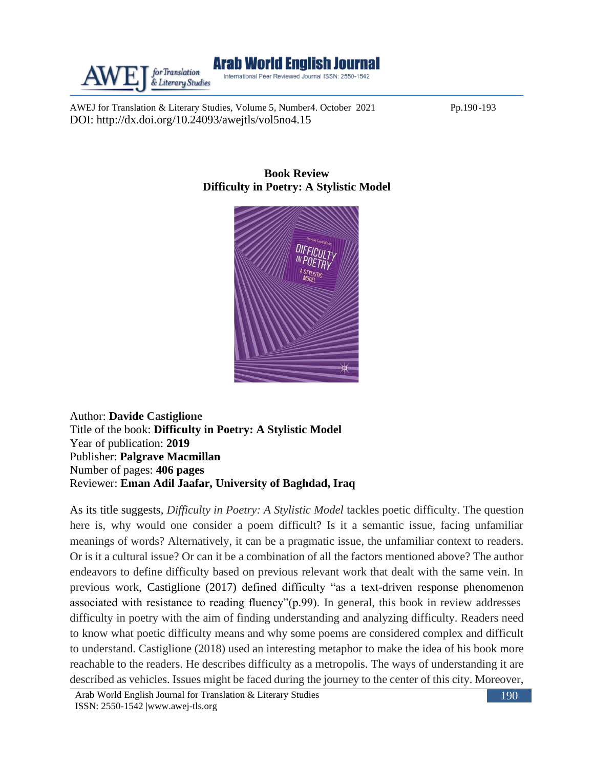

AWEJ for Translation & Literary Studies, Volume 5, Number4. October 2021 Pp.190-193 DOI: http://dx.doi.org/10.24093/awejtls/vol5no4.15



## **Book Review Difficulty in Poetry: A Stylistic Model**

Author: **Davide Castiglione** Title of the book: **Difficulty in Poetry: A Stylistic Model** Year of publication: **2019** Publisher: **Palgrave Macmillan** Number of pages: **406 pages** Reviewer: **Eman Adil Jaafar, University of Baghdad, Iraq**

As its title suggests, *Difficulty in Poetry: A Stylistic Model* tackles poetic difficulty. The question here is, why would one consider a poem difficult? Is it a semantic issue, facing unfamiliar meanings of words? Alternatively, it can be a pragmatic issue, the unfamiliar context to readers. Or is it a cultural issue? Or can it be a combination of all the factors mentioned above? The author endeavors to define difficulty based on previous relevant work that dealt with the same vein. In previous work, Castiglione (2017) defined difficulty "as a text-driven response phenomenon associated with resistance to reading fluency"(p.99). In general, this book in review addresses difficulty in poetry with the aim of finding understanding and analyzing difficulty. Readers need to know what poetic difficulty means and why some poems are considered complex and difficult to understand. Castiglione (2018) used an interesting metaphor to make the idea of his book more reachable to the readers. He describes difficulty as a metropolis. The ways of understanding it are described as vehicles. Issues might be faced during the journey to the center of this city. Moreover,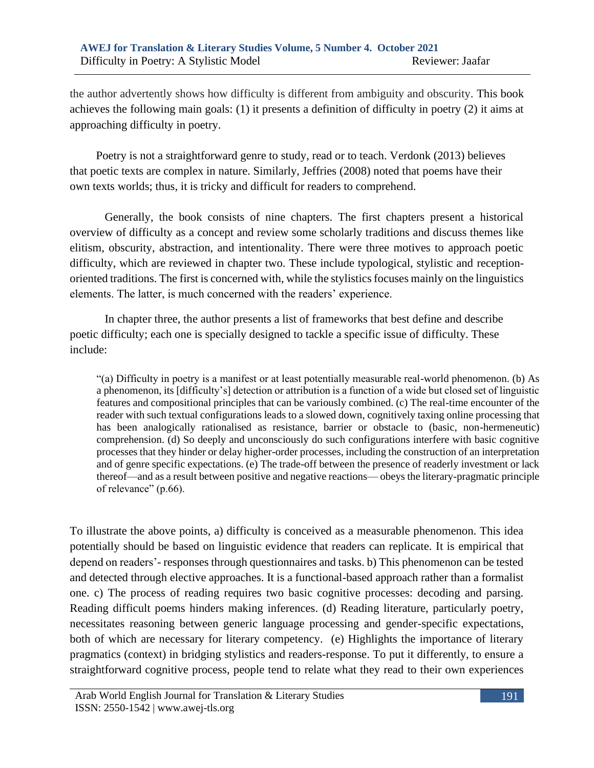the author advertently shows how difficulty is different from ambiguity and obscurity. This book achieves the following main goals: (1) it presents a definition of difficulty in poetry (2) it aims at approaching difficulty in poetry.

 Poetry is not a straightforward genre to study, read or to teach. Verdonk (2013) believes that poetic texts are complex in nature. Similarly, Jeffries (2008) noted that poems have their own texts worlds; thus, it is tricky and difficult for readers to comprehend.

Generally, the book consists of nine chapters. The first chapters present a historical overview of difficulty as a concept and review some scholarly traditions and discuss themes like elitism, obscurity, abstraction, and intentionality. There were three motives to approach poetic difficulty, which are reviewed in chapter two. These include typological, stylistic and receptionoriented traditions. The first is concerned with, while the stylistics focuses mainly on the linguistics elements. The latter, is much concerned with the readers' experience.

In chapter three, the author presents a list of frameworks that best define and describe poetic difficulty; each one is specially designed to tackle a specific issue of difficulty. These include:

"(a) Difficulty in poetry is a manifest or at least potentially measurable real-world phenomenon. (b) As a phenomenon, its [difficulty's] detection or attribution is a function of a wide but closed set of linguistic features and compositional principles that can be variously combined. (c) The real-time encounter of the reader with such textual configurations leads to a slowed down, cognitively taxing online processing that has been analogically rationalised as resistance, barrier or obstacle to (basic, non-hermeneutic) comprehension. (d) So deeply and unconsciously do such configurations interfere with basic cognitive processes that they hinder or delay higher-order processes, including the construction of an interpretation and of genre specific expectations. (e) The trade-off between the presence of readerly investment or lack thereof—and as a result between positive and negative reactions— obeys the literary-pragmatic principle of relevance" (p.66).

To illustrate the above points, a) difficulty is conceived as a measurable phenomenon. This idea potentially should be based on linguistic evidence that readers can replicate. It is empirical that depend on readers'- responses through questionnaires and tasks. b) This phenomenon can be tested and detected through elective approaches. It is a functional-based approach rather than a formalist one. c) The process of reading requires two basic cognitive processes: decoding and parsing. Reading difficult poems hinders making inferences. (d) Reading literature, particularly poetry, necessitates reasoning between generic language processing and gender-specific expectations, both of which are necessary for literary competency. (e) Highlights the importance of literary pragmatics (context) in bridging stylistics and readers-response. To put it differently, to ensure a straightforward cognitive process, people tend to relate what they read to their own experiences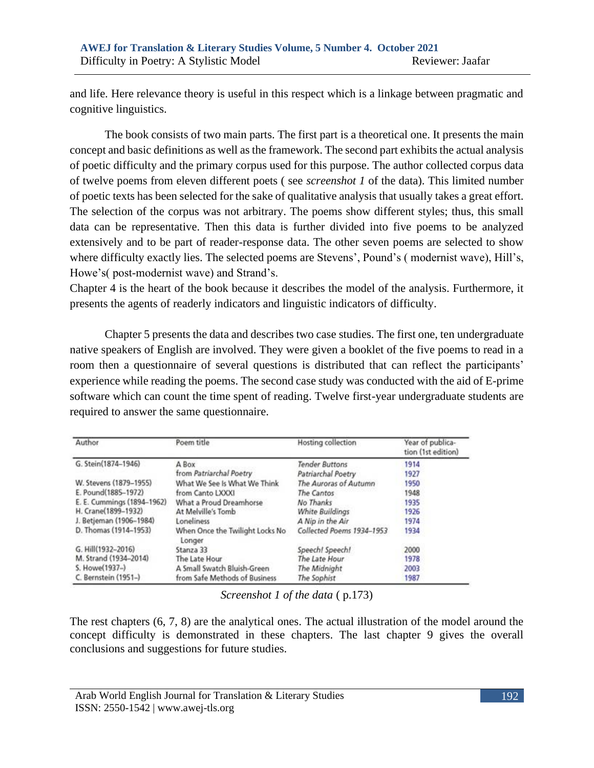and life. Here relevance theory is useful in this respect which is a linkage between pragmatic and cognitive linguistics.

 The book consists of two main parts. The first part is a theoretical one. It presents the main concept and basic definitions as well as the framework. The second part exhibits the actual analysis of poetic difficulty and the primary corpus used for this purpose. The author collected corpus data of twelve poems from eleven different poets ( see *screenshot 1* of the data). This limited number of poetic texts has been selected for the sake of qualitative analysis that usually takes a great effort. The selection of the corpus was not arbitrary. The poems show different styles; thus, this small data can be representative. Then this data is further divided into five poems to be analyzed extensively and to be part of reader-response data. The other seven poems are selected to show where difficulty exactly lies. The selected poems are Stevens', Pound's ( modernist wave), Hill's, Howe's( post-modernist wave) and Strand's.

Chapter 4 is the heart of the book because it describes the model of the analysis. Furthermore, it presents the agents of readerly indicators and linguistic indicators of difficulty.

Chapter 5 presents the data and describes two case studies. The first one, ten undergraduate native speakers of English are involved. They were given a booklet of the five poems to read in a room then a questionnaire of several questions is distributed that can reflect the participants' experience while reading the poems. The second case study was conducted with the aid of E-prime software which can count the time spent of reading. Twelve first-year undergraduate students are required to answer the same questionnaire.

| Author                     | Poem title                                | Hosting collection        | Year of publica-<br>tion (1st edition) |
|----------------------------|-------------------------------------------|---------------------------|----------------------------------------|
| G. Stein(1874-1946)        | A Box                                     | <b>Tender Buttons</b>     | 1914                                   |
|                            | from Patriarchal Poetry                   | Patriarchal Poetry        | 1927                                   |
| W. Stevens (1879-1955)     | What We See Is What We Think              | The Auroras of Autumn     | 1950                                   |
| E. Pound(1885-1972)        | from Canto LXXXI                          | The Cantos                | 1948                                   |
| E. E. Cummings (1894-1962) | What a Proud Dreamhorse                   | No Thanks                 | 1935                                   |
| H. Crane(1899-1932)        | At Melville's Tomb                        | <b>White Buildings</b>    | 1926                                   |
| J. Betjeman (1906-1984)    | Loneliness                                | A Nip in the Air          | 1974                                   |
| D. Thomas (1914-1953)      | When Once the Twilight Locks No<br>Longer | Collected Poems 1934-1953 | 1934                                   |
| G. Hill(1932-2016)         | Stanza 33                                 | Speech! Speech!           | 2000                                   |
| M. Strand (1934-2014)      | The Late Hour                             | The Late Hour             | 1978                                   |
| S. Howe(1937-)             | A Small Swatch Bluish-Green               | The Midnight              | 2003                                   |
| C. Bernstein (1951-)       | from Safe Methods of Business             | The Sophist               | 1987                                   |

*Screenshot 1 of the data* ( p.173)

The rest chapters (6, 7, 8) are the analytical ones. The actual illustration of the model around the concept difficulty is demonstrated in these chapters. The last chapter 9 gives the overall conclusions and suggestions for future studies.